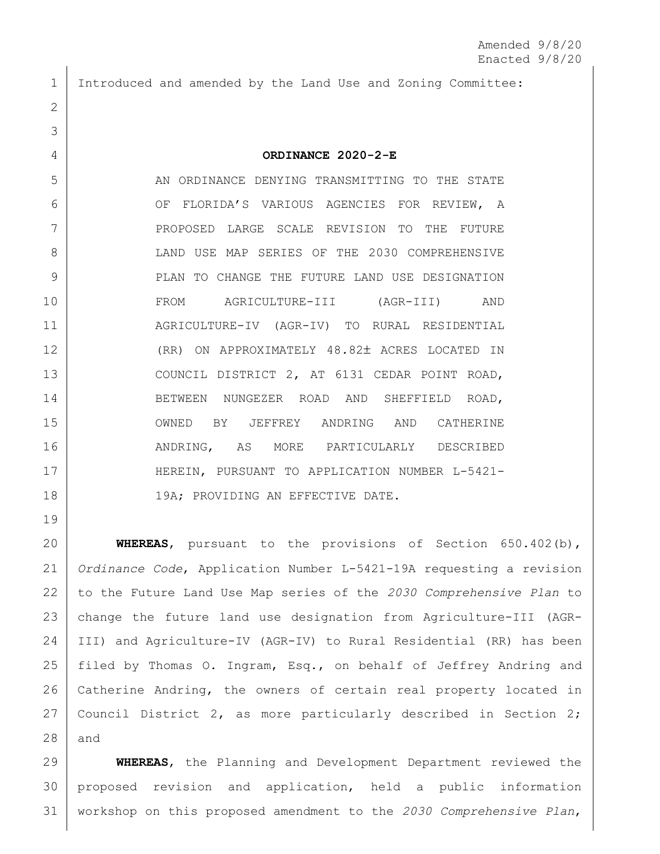Introduced and amended by the Land Use and Zoning Committee: **ORDINANCE 2020-2-E** 5 AN ORDINANCE DENYING TRANSMITTING TO THE STATE OF FLORIDA'S VARIOUS AGENCIES FOR REVIEW, A PROPOSED LARGE SCALE REVISION TO THE FUTURE 8 LAND USE MAP SERIES OF THE 2030 COMPREHENSIVE 9 | PLAN TO CHANGE THE FUTURE LAND USE DESIGNATION FROM AGRICULTURE-III (AGR-III) AND AGRICULTURE-IV (AGR-IV) TO RURAL RESIDENTIAL 12 (RR) ON APPROXIMATELY 48.82± ACRES LOCATED IN 13 | COUNCIL DISTRICT 2, AT 6131 CEDAR POINT ROAD, 14 BETWEEN NUNGEZER ROAD AND SHEFFIELD ROAD, OWNED BY JEFFREY ANDRING AND CATHERINE 16 | ANDRING, AS MORE PARTICULARLY DESCRIBED HEREIN, PURSUANT TO APPLICATION NUMBER L-5421- 18 | 19A; PROVIDING AN EFFECTIVE DATE. 

 **WHEREAS**, pursuant to the provisions of Section 650.402(b), *Ordinance Code*, Application Number L-5421-19A requesting a revision to the Future Land Use Map series of the *2030 Comprehensive Plan* to change the future land use designation from Agriculture-III (AGR- III) and Agriculture-IV (AGR-IV) to Rural Residential (RR) has been filed by Thomas O. Ingram, Esq., on behalf of Jeffrey Andring and Catherine Andring, the owners of certain real property located in Council District 2, as more particularly described in Section 2; and

 **WHEREAS**, the Planning and Development Department reviewed the proposed revision and application, held a public information workshop on this proposed amendment to the *2030 Comprehensive Plan*,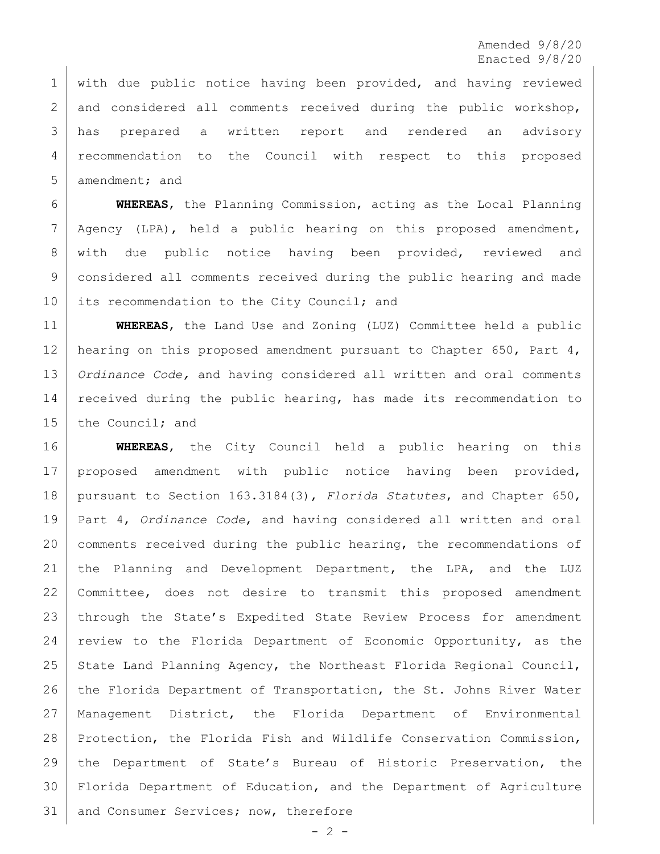1 with due public notice having been provided, and having reviewed  $2$  and considered all comments received during the public workshop, 3 has prepared a written report and rendered an advisory 4 | recommendation to the Council with respect to this proposed 5 amendment; and

 **WHEREAS**, the Planning Commission, acting as the Local Planning Agency (LPA), held a public hearing on this proposed amendment, with due public notice having been provided, reviewed and considered all comments received during the public hearing and made 10 its recommendation to the City Council; and

11 **WHEREAS**, the Land Use and Zoning (LUZ) Committee held a public 12 | hearing on this proposed amendment pursuant to Chapter 650, Part 4, 13 *Ordinance Code,* and having considered all written and oral comments 14 | received during the public hearing, has made its recommendation to 15 the Council; and

 **WHEREAS**, the City Council held a public hearing on this proposed amendment with public notice having been provided, pursuant to Section 163.3184(3), *Florida Statutes*, and Chapter 650, Part 4, *Ordinance Code*, and having considered all written and oral comments received during the public hearing, the recommendations of 21 | the Planning and Development Department, the LPA, and the LUZ Committee, does not desire to transmit this proposed amendment through the State's Expedited State Review Process for amendment 24 | review to the Florida Department of Economic Opportunity, as the 25 State Land Planning Agency, the Northeast Florida Regional Council, 26 the Florida Department of Transportation, the St. Johns River Water Management District, the Florida Department of Environmental Protection, the Florida Fish and Wildlife Conservation Commission, the Department of State's Bureau of Historic Preservation, the Florida Department of Education, and the Department of Agriculture 31 and Consumer Services; now, therefore

 $- 2 -$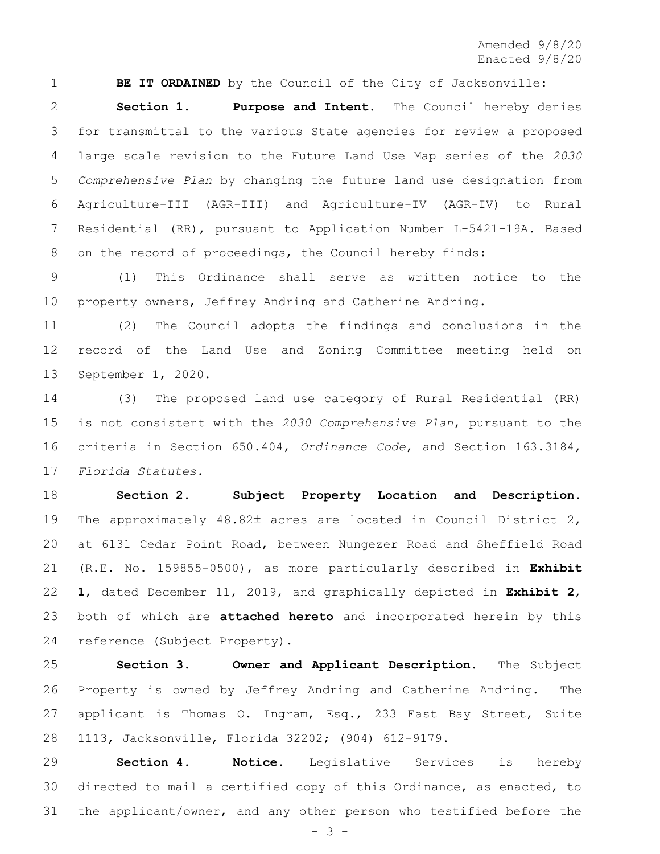Amended 9/8/20 Enacted 9/8/20

**BE IT ORDAINED** by the Council of the City of Jacksonville: **Section 1. Purpose and Intent.** The Council hereby denies for transmittal to the various State agencies for review a proposed large scale revision to the Future Land Use Map series of the *2030 Comprehensive Plan* by changing the future land use designation from Agriculture-III (AGR-III) and Agriculture-IV (AGR-IV) to Rural Residential (RR), pursuant to Application Number L-5421-19A. Based 8 on the record of proceedings, the Council hereby finds:

 (1) This Ordinance shall serve as written notice to the 10 | property owners, Jeffrey Andring and Catherine Andring.

 (2) The Council adopts the findings and conclusions in the record of the Land Use and Zoning Committee meeting held on September 1, 2020.

 (3) The proposed land use category of Rural Residential (RR) is not consistent with the *2030 Comprehensive Plan*, pursuant to the criteria in Section 650.404, *Ordinance Code*, and Section 163.3184, *Florida Statutes*.

 **Section 2. Subject Property Location and Description.** 19 | The approximately 48.82± acres are located in Council District 2, at 6131 Cedar Point Road, between Nungezer Road and Sheffield Road (R.E. No. 159855-0500), as more particularly described in **Exhibit 1**, dated December 11, 2019, and graphically depicted in **Exhibit 2**, both of which are **attached hereto** and incorporated herein by this 24 reference (Subject Property).

 **Section 3. Owner and Applicant Description.** The Subject Property is owned by Jeffrey Andring and Catherine Andring. The 27 | applicant is Thomas O. Ingram, Esq., 233 East Bay Street, Suite 1113, Jacksonville, Florida 32202; (904) 612-9179.

 **Section 4. Notice.** Legislative Services is hereby directed to mail a certified copy of this Ordinance, as enacted, to 31 | the applicant/owner, and any other person who testified before the

 $- 3 -$